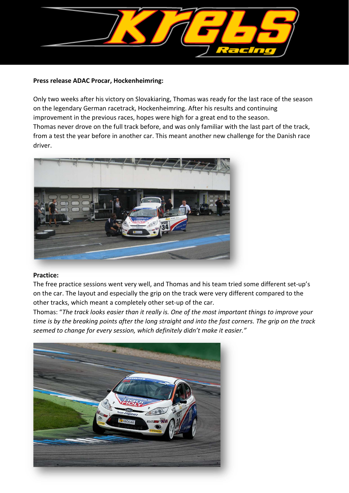

### **Press release ADAC Procar, Hockenheimring:**

Only two weeks after his victory on Slovakiaring, Thomas was ready for the last race of the season on the legendary German racetrack, Hockenheimring. After his results and continuing improvement in the previous races, hopes were high for a great end to the season. Thomas never drove on the full track before, and was only familiar with the last part of the track, from a test the year before in another car. This meant another new challenge for the Danish race driver.



### **Practice:**

The free practice sessions went very well, and Thomas and his team tried some different set-up's on the car. The layout and especially the grip on the track were very different compared to the other tracks, which meant a completely other set-up of the car.

Thomas: "*The track looks easier than it really is. One of the most important things to improve your time is by the breaking points after the long straight and into the fast corners. The grip on the track seemed to change for every session, which definitely didn't make it easier."* 

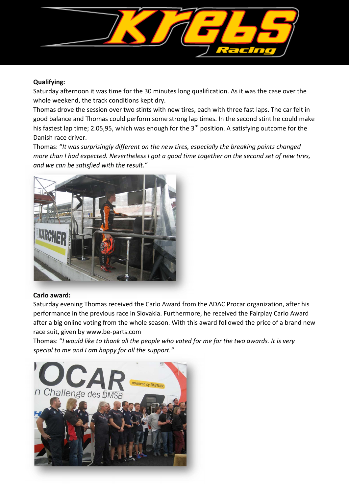

# **Qualifying:**

Saturday afternoon it was time for the 30 minutes long qualification. As it was the case over the whole weekend, the track conditions kept dry.

Thomas drove the session over two stints with new tires, each with three fast laps. The car felt in good balance and Thomas could perform some strong lap times. In the second stint he could make his fastest lap time; 2.05,95, which was enough for the 3<sup>rd</sup> position. A satisfying outcome for the Danish race driver.

Thomas: "*It was surprisingly different on the new tires, especially the breaking points changed more than I had expected. Nevertheless I got a good time together on the second set of new tires, and we can be satisfied with the result."* 



# **Carlo award:**

Saturday evening Thomas received the Carlo Award from the ADAC Procar organization, after his performance in the previous race in Slovakia. Furthermore, he received the Fairplay Carlo Award after a big online voting from the whole season. With this award followed the price of a brand new race suit, given by www.be-parts.com

Thomas: "*I would like to thank all the people who voted for me for the two awards. It is very special to me and I am happy for all the support."* 

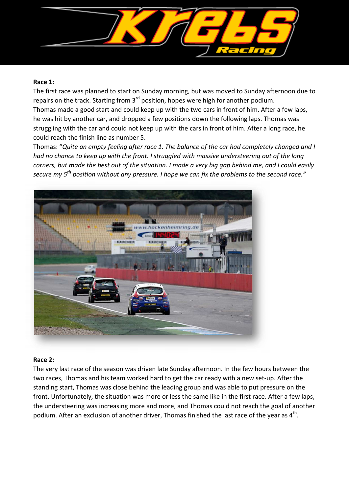

### **Race 1:**

The first race was planned to start on Sunday morning, but was moved to Sunday afternoon due to repairs on the track. Starting from 3<sup>rd</sup> position, hopes were high for another podium. Thomas made a good start and could keep up with the two cars in front of him. After a few laps, he was hit by another car, and dropped a few positions down the following laps. Thomas was struggling with the car and could not keep up with the cars in front of him. After a long race, he could reach the finish line as number 5.

Thomas: "*Quite an empty feeling after race 1. The balance of the car had completely changed and I had no chance to keep up with the front. I struggled with massive understeering out of the long corners, but made the best out of the situation. I made a very big gap behind me, and I could easily secure my 5th position without any pressure. I hope we can fix the problems to the second race."*



# **Race 2:**

The very last race of the season was driven late Sunday afternoon. In the few hours between the two races, Thomas and his team worked hard to get the car ready with a new set-up. After the standing start, Thomas was close behind the leading group and was able to put pressure on the front. Unfortunately, the situation was more or less the same like in the first race. After a few laps, the understeering was increasing more and more, and Thomas could not reach the goal of another podium. After an exclusion of another driver, Thomas finished the last race of the year as  $4^{\text{th}}$ .